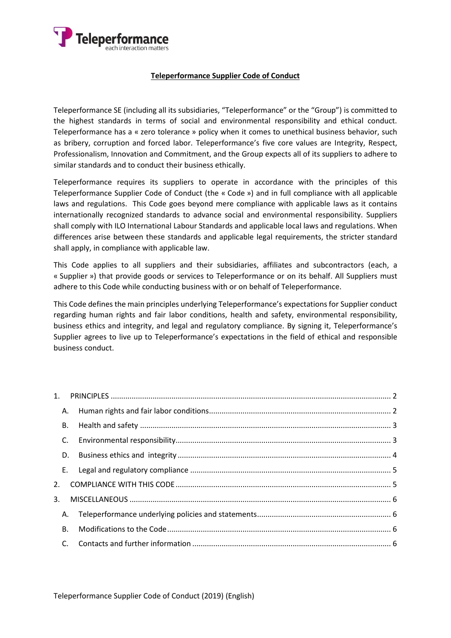

#### **Teleperformance Supplier Code of Conduct**

Teleperformance SE (including all its subsidiaries, "Teleperformance" or the "Group") is committed to the highest standards in terms of social and environmental responsibility and ethical conduct. Teleperformance has a « zero tolerance » policy when it comes to unethical business behavior, such as bribery, corruption and forced labor. Teleperformance's five core values are Integrity, Respect, Professionalism, Innovation and Commitment, and the Group expects all of its suppliers to adhere to similar standards and to conduct their business ethically.

Teleperformance requires its suppliers to operate in accordance with the principles of this Teleperformance Supplier Code of Conduct (the « Code ») and in full compliance with all applicable laws and regulations. This Code goes beyond mere compliance with applicable laws as it contains internationally recognized standards to advance social and environmental responsibility. Suppliers shall comply with ILO International Labour Standards and applicable local laws and regulations. When differences arise between these standards and applicable legal requirements, the stricter standard shall apply, in compliance with applicable law.

This Code applies to all suppliers and their subsidiaries, affiliates and subcontractors (each, a « Supplier ») that provide goods or services to Teleperformance or on its behalf. All Suppliers must adhere to this Code while conducting business with or on behalf of Teleperformance.

This Code defines the main principles underlying Teleperformance's expectations for Supplier conduct regarding human rights and fair labor conditions, health and safety, environmental responsibility, business ethics and integrity, and legal and regulatory compliance. By signing it, Teleperformance's Supplier agrees to live up to Teleperformance's expectations in the field of ethical and responsible business conduct.

| A.        |           |  |
|-----------|-----------|--|
|           | <b>B.</b> |  |
| C.        |           |  |
|           | D.        |  |
|           |           |  |
|           |           |  |
| 3.        |           |  |
| A.        |           |  |
| <b>B.</b> |           |  |
|           |           |  |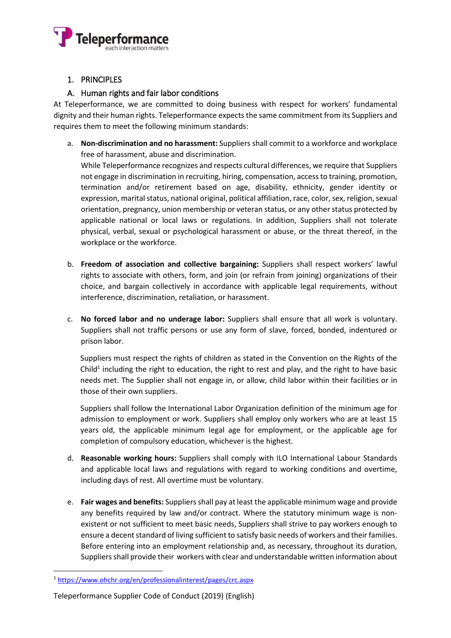

# <span id="page-1-0"></span>1. PRINCIPLES

### A. Human rights and fair labor conditions

<span id="page-1-1"></span>At Teleperformance, we are committed to doing business with respect for workers' fundamental dignity and their human rights. Teleperformance expects the same commitment from its Suppliers and requires them to meet the following minimum standards:

a. **Non-discrimination and no harassment:** Suppliers shall commit to a workforce and workplace free of harassment, abuse and discrimination.

While Teleperformance recognizes and respects cultural differences, we require that Suppliers not engage in discrimination in recruiting, hiring, compensation, access to training, promotion, termination and/or retirement based on age, disability, ethnicity, gender identity or expression, marital status, national original, political affiliation, race, color, sex, religion, sexual orientation, pregnancy, union membership or veteran status, or any other status protected by applicable national or local laws or regulations. In addition, Suppliers shall not tolerate physical, verbal, sexual or psychological harassment or abuse, or the threat thereof, in the workplace or the workforce.

- b. **Freedom of association and collective bargaining:** Suppliers shall respect workers' lawful rights to associate with others, form, and join (or refrain from joining) organizations of their choice, and bargain collectively in accordance with applicable legal requirements, without interference, discrimination, retaliation, or harassment.
- c. **No forced labor and no underage labor:** Suppliers shall ensure that all work is voluntary. Suppliers shall not traffic persons or use any form of slave, forced, bonded, indentured or prison labor.

Suppliers must respect the rights of children as stated in the Convention on the Rights of the Child<sup>1</sup> including the right to education, the right to rest and play, and the right to have basic needs met. The Supplier shall not engage in, or allow, child labor within their facilities or in those of their own suppliers.

Suppliers shall follow the International Labor Organization definition of the minimum age for admission to employment or work. Suppliers shall employ only workers who are at least 15 years old, the applicable minimum legal age for employment, or the applicable age for completion of compulsory education, whichever is the highest.

- d. **Reasonable working hours:** Suppliers shall comply with ILO International Labour Standards and applicable local laws and regulations with regard to working conditions and overtime, including days of rest. All overtime must be voluntary.
- e. **Fair wages and benefits:** Suppliersshall pay at least the applicable minimum wage and provide any benefits required by law and/or contract. Where the statutory minimum wage is nonexistent or not sufficient to meet basic needs, Suppliers shall strive to pay workers enough to ensure a decent standard of living sufficient to satisfy basic needs of workers and their families. Before entering into an employment relationship and, as necessary, throughout its duration, Suppliers shall provide their workers with clear and understandable written information about

1

<sup>1</sup> <https://www.ohchr.org/en/professionalinterest/pages/crc.aspx>

Teleperformance Supplier Code of Conduct (2019) (English)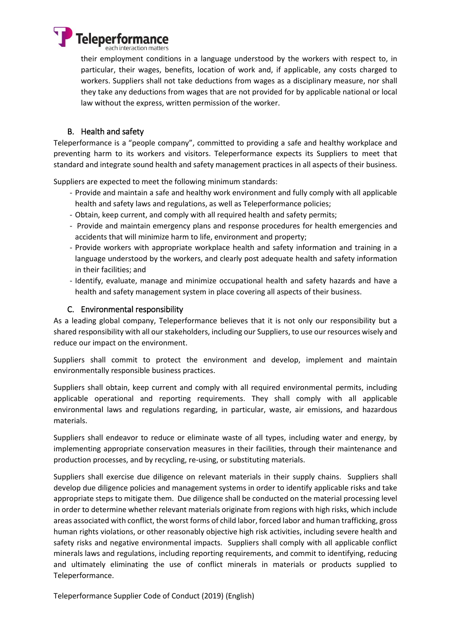

their employment conditions in a language understood by the workers with respect to, in particular, their wages, benefits, location of work and, if applicable, any costs charged to workers. Suppliers shall not take deductions from wages as a disciplinary measure, nor shall they take any deductions from wages that are not provided for by applicable national or local law without the express, written permission of the worker.

### B. Health and safety

<span id="page-2-0"></span>Teleperformance is a "people company", committed to providing a safe and healthy workplace and preventing harm to its workers and visitors. Teleperformance expects its Suppliers to meet that standard and integrate sound health and safety management practices in all aspects of their business.

Suppliers are expected to meet the following minimum standards:

- Provide and maintain a safe and healthy work environment and fully comply with all applicable health and safety laws and regulations, as well as Teleperformance policies;
- Obtain, keep current, and comply with all required health and safety permits;
- Provide and maintain emergency plans and response procedures for health emergencies and accidents that will minimize harm to life, environment and property;
- Provide workers with appropriate workplace health and safety information and training in a language understood by the workers, and clearly post adequate health and safety information in their facilities; and
- Identify, evaluate, manage and minimize occupational health and safety hazards and have a health and safety management system in place covering all aspects of their business.

#### C. Environmental responsibility

<span id="page-2-1"></span>As a leading global company, Teleperformance believes that it is not only our responsibility but a shared responsibility with all our stakeholders, including our Suppliers, to use our resources wisely and reduce our impact on the environment.

Suppliers shall commit to protect the environment and develop, implement and maintain environmentally responsible business practices.

Suppliers shall obtain, keep current and comply with all required environmental permits, including applicable operational and reporting requirements. They shall comply with all applicable environmental laws and regulations regarding, in particular, waste, air emissions, and hazardous materials.

Suppliers shall endeavor to reduce or eliminate waste of all types, including water and energy, by implementing appropriate conservation measures in their facilities, through their maintenance and production processes, and by recycling, re-using, or substituting materials.

Suppliers shall exercise due diligence on relevant materials in their supply chains. Suppliers shall develop due diligence policies and management systems in order to identify applicable risks and take appropriate steps to mitigate them. Due diligence shall be conducted on the material processing level in order to determine whether relevant materials originate from regions with high risks, which include areas associated with conflict, the worst forms of child labor, forced labor and human trafficking, gross human rights violations, or other reasonably objective high risk activities, including severe health and safety risks and negative environmental impacts. Suppliers shall comply with all applicable conflict minerals laws and regulations, including reporting requirements, and commit to identifying, reducing and ultimately eliminating the use of conflict minerals in materials or products supplied to Teleperformance.

Teleperformance Supplier Code of Conduct (2019) (English)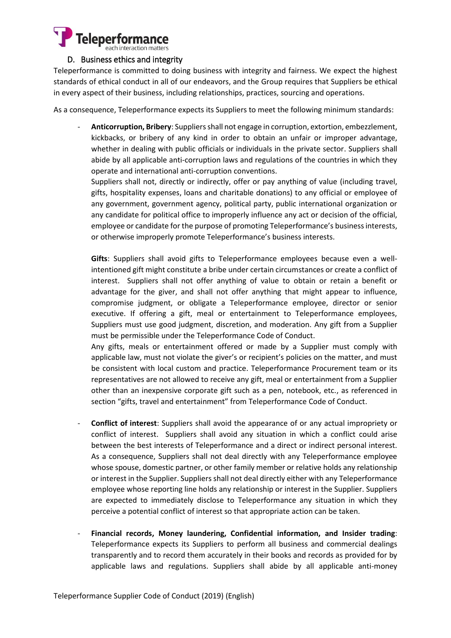

#### D. Business ethics and integrity

<span id="page-3-0"></span>Teleperformance is committed to doing business with integrity and fairness. We expect the highest standards of ethical conduct in all of our endeavors, and the Group requires that Suppliers be ethical in every aspect of their business, including relationships, practices, sourcing and operations.

As a consequence, Teleperformance expects its Suppliers to meet the following minimum standards:

- **Anticorruption, Bribery**: Suppliers shall not engage in corruption, extortion, embezzlement, kickbacks, or bribery of any kind in order to obtain an unfair or improper advantage, whether in dealing with public officials or individuals in the private sector. Suppliers shall abide by all applicable anti-corruption laws and regulations of the countries in which they operate and international anti-corruption conventions.

Suppliers shall not, directly or indirectly, offer or pay anything of value (including travel, gifts, hospitality expenses, loans and charitable donations) to any official or employee of any government, government agency, political party, public international organization or any candidate for political office to improperly influence any act or decision of the official, employee or candidate for the purpose of promoting Teleperformance's business interests, or otherwise improperly promote Teleperformance's business interests.

**Gifts**: Suppliers shall avoid gifts to Teleperformance employees because even a wellintentioned gift might constitute a bribe under certain circumstances or create a conflict of interest. Suppliers shall not offer anything of value to obtain or retain a benefit or advantage for the giver, and shall not offer anything that might appear to influence, compromise judgment, or obligate a Teleperformance employee, director or senior executive. If offering a gift, meal or entertainment to Teleperformance employees, Suppliers must use good judgment, discretion, and moderation. Any gift from a Supplier must be permissible under the Teleperformance Code of Conduct.

Any gifts, meals or entertainment offered or made by a Supplier must comply with applicable law, must not violate the giver's or recipient's policies on the matter, and must be consistent with local custom and practice. Teleperformance Procurement team or its representatives are not allowed to receive any gift, meal or entertainment from a Supplier other than an inexpensive corporate gift such as a pen, notebook, etc., as referenced in section "gifts, travel and entertainment" from Teleperformance Code of Conduct.

- **Conflict of interest**: Suppliers shall avoid the appearance of or any actual impropriety or conflict of interest. Suppliers shall avoid any situation in which a conflict could arise between the best interests of Teleperformance and a direct or indirect personal interest. As a consequence, Suppliers shall not deal directly with any Teleperformance employee whose spouse, domestic partner, or other family member or relative holds any relationship or interest in the Supplier. Suppliers shall not deal directly either with any Teleperformance employee whose reporting line holds any relationship or interest in the Supplier. Suppliers are expected to immediately disclose to Teleperformance any situation in which they perceive a potential conflict of interest so that appropriate action can be taken.
- **Financial records, Money laundering, Confidential information, and Insider trading**: Teleperformance expects its Suppliers to perform all business and commercial dealings transparently and to record them accurately in their books and records as provided for by applicable laws and regulations. Suppliers shall abide by all applicable anti-money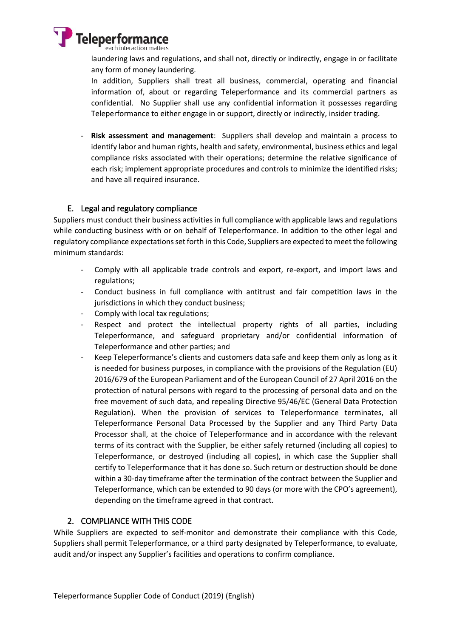

laundering laws and regulations, and shall not, directly or indirectly, engage in or facilitate any form of money laundering.

In addition, Suppliers shall treat all business, commercial, operating and financial information of, about or regarding Teleperformance and its commercial partners as confidential. No Supplier shall use any confidential information it possesses regarding Teleperformance to either engage in or support, directly or indirectly, insider trading.

- **Risk assessment and management**: Suppliers shall develop and maintain a process to identify labor and human rights, health and safety, environmental, business ethics and legal compliance risks associated with their operations; determine the relative significance of each risk; implement appropriate procedures and controls to minimize the identified risks; and have all required insurance.

#### E. Legal and regulatory compliance

<span id="page-4-0"></span>Suppliers must conduct their business activities in full compliance with applicable laws and regulations while conducting business with or on behalf of Teleperformance. In addition to the other legal and regulatory compliance expectations set forth in this Code, Suppliers are expected to meet the following minimum standards:

- Comply with all applicable trade controls and export, re-export, and import laws and regulations;
- Conduct business in full compliance with antitrust and fair competition laws in the jurisdictions in which they conduct business;
- Comply with local tax regulations;
- Respect and protect the intellectual property rights of all parties, including Teleperformance, and safeguard proprietary and/or confidential information of Teleperformance and other parties; and
- Keep Teleperformance's clients and customers data safe and keep them only as long as it is needed for business purposes, in compliance with the provisions of the Regulation (EU) 2016/679 of the European Parliament and of the European Council of 27 April 2016 on the protection of natural persons with regard to the processing of personal data and on the free movement of such data, and repealing Directive 95/46/EC (General Data Protection Regulation). When the provision of services to Teleperformance terminates, all Teleperformance Personal Data Processed by the Supplier and any Third Party Data Processor shall, at the choice of Teleperformance and in accordance with the relevant terms of its contract with the Supplier, be either safely returned (including all copies) to Teleperformance, or destroyed (including all copies), in which case the Supplier shall certify to Teleperformance that it has done so. Such return or destruction should be done within a 30-day timeframe after the termination of the contract between the Supplier and Teleperformance, which can be extended to 90 days (or more with the CPO's agreement), depending on the timeframe agreed in that contract.

#### <span id="page-4-1"></span>2. COMPLIANCE WITH THIS CODE

While Suppliers are expected to self-monitor and demonstrate their compliance with this Code, Suppliers shall permit Teleperformance, or a third party designated by Teleperformance, to evaluate, audit and/or inspect any Supplier's facilities and operations to confirm compliance.